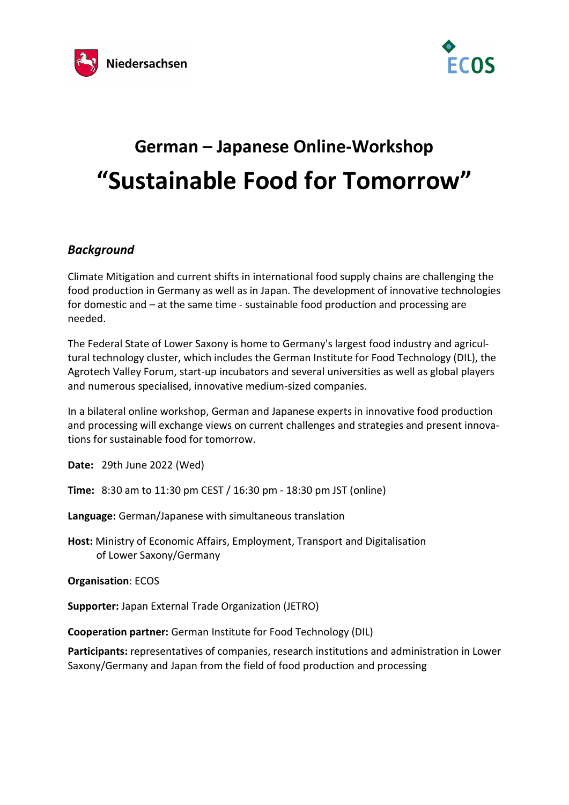



## German – Japanese Online-Workshop "Sustainable Food for Tomorrow"

## **Background**

Climate Mitigation and current shifts in international food supply chains are challenging the food production in Germany as well as in Japan. The development of innovative technologies for domestic and – at the same time - sustainable food production and processing are needed.

The Federal State of Lower Saxony is home to Germany's largest food industry and agricultural technology cluster, which includes the German Institute for Food Technology (DIL), the Agrotech Valley Forum, start-up incubators and several universities as well as global players and numerous specialised, innovative medium-sized companies.

In a bilateral online workshop, German and Japanese experts in innovative food production and processing will exchange views on current challenges and strategies and present innovations for sustainable food for tomorrow.

Date: 29th June 2022 (Wed)

Time: 8:30 am to 11:30 pm CEST / 16:30 pm - 18:30 pm JST (online)

Language: German/Japanese with simultaneous translation

Host: Ministry of Economic Affairs, Employment, Transport and Digitalisation of Lower Saxony/Germany

Organisation: ECOS

Supporter: Japan External Trade Organization (JETRO)

Cooperation partner: German Institute for Food Technology (DIL)

Participants: representatives of companies, research institutions and administration in Lower Saxony/Germany and Japan from the field of food production and processing